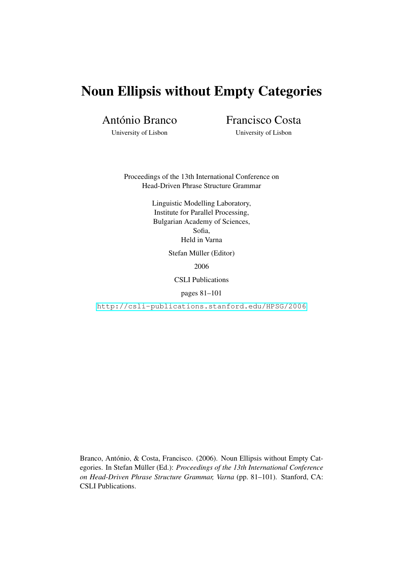# Noun Ellipsis without Empty Categories

António Branco

Francisco Costa

University of Lisbon

University of Lisbon

Proceedings of the 13th International Conference on Head-Driven Phrase Structure Grammar

> Linguistic Modelling Laboratory, Institute for Parallel Processing, Bulgarian Academy of Sciences, Sofia, Held in Varna

> > Stefan Müller (Editor)

2006

CSLI Publications

pages 81–101

<http://csli-publications.stanford.edu/HPSG/2006>

Branco, António, & Costa, Francisco. (2006). Noun Ellipsis without Empty Categories. In Stefan Müller (Ed.): Proceedings of the 13th International Conference *on Head-Driven Phrase Structure Grammar, Varna* (pp. 81–101). Stanford, CA: CSLI Publications.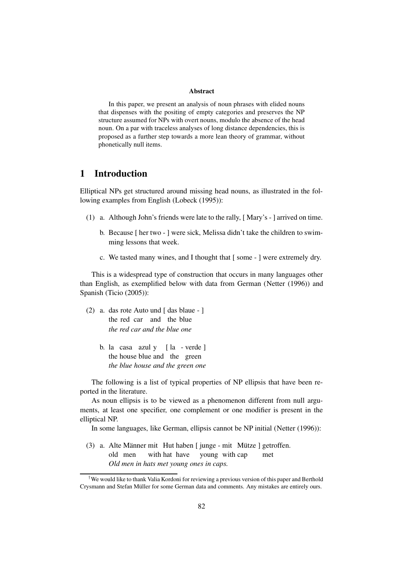#### **Abstract**

In this paper, we present an analysis of noun phrases with elided nouns that dispenses with the positing of empty categories and preserves the NP structure assumed for NPs with overt nouns, modulo the absence of the head noun. On a par with traceless analyses of long distance dependencies, this is proposed as a further step towards a more lean theory of grammar, without phonetically null items.

## **1 Introduction**

Elliptical NPs get structured around missing head nouns, as illustrated in the following examples from English (Lobeck (1995)):

- (1) a. Although John's friends were late to the rally, [ Mary's ] arrived on time.
	- b. Because [ her two ] were sick, Melissa didn't take the children to swimming lessons that week.
	- c. We tasted many wines, and I thought that [ some ] were extremely dry.

This is a widespread type of construction that occurs in many languages other than English, as exemplified below with data from German (Netter (1996)) and Spanish (Ticio (2005)):

- (2) a. das rote Auto und [ das blaue ] the red car and the blue *the red car and the blue one*
	- b. la casa azul y [ la verde ] the house blue and the green *the blue house and the green one*

The following is a list of typical properties of NP ellipsis that have been reported in the literature.

As noun ellipsis is to be viewed as a phenomenon different from null arguments, at least one specifier, one complement or one modifier is present in the elliptical NP.

In some languages, like German, ellipsis cannot be NP initial (Netter (1996)):

(3) a. Alte Männer mit Hut haben  $\lceil$  junge - mit Mütze  $\lceil$  getroffen. old men with hat have young with cap met *Old men in hats met young ones in caps.*

<sup>†</sup>We would like to thank Valia Kordoni for reviewing a previous version of this paper and Berthold Crysmann and Stefan Müller for some German data and comments. Any mistakes are entirely ours.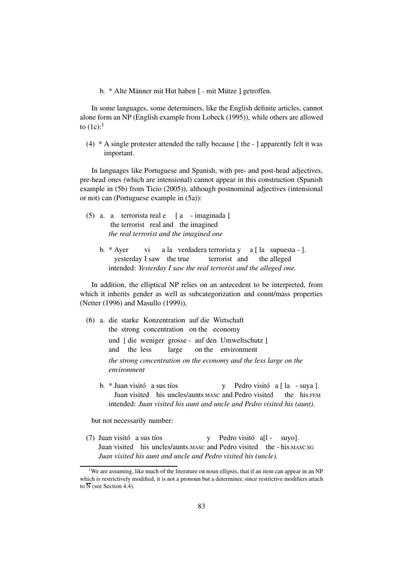b. \* Alte Männer mit Hut haben [ - mit Mütze ] getroffen.

In some languages, some determiners, like the English definite articles, cannot alone form an NP (English example from Lobeck (1995)), while others are allowed to  $(1c)$ :<sup>1</sup>

(4) \* A single protester attended the rally because [ the - ] apparently felt it was important.

In languages like Portuguese and Spanish, with pre- and post-head adjectives, pre-head ones (which are intensional) cannot appear in this construction (Spanish example in (5b) from Ticio (2005)), although postnominal adjectives (intensional or not) can (Portuguese example in (5a)):

- (5) a. a terrorista real e [ a imaginada ] the terrorist real and the imagined *the real terrorist and the imagined one*
	- b. \* Ayer vi a la verdadera terrorista y a [ la supuesta ]. yesterday I saw the true terrorist and the alleged intended: *Yesterday I saw the real terrorist and the alleged one.*

In addition, the elliptical NP relies on an antecedent to be interpreted, from which it inherits gender as well as subcategorization and count/mass properties (Netter (1996) and Masullo (1999)),

- (6) a. die starke Konzentration auf die Wirtschaft the strong concentration on the economy und [ die weniger grosse - auf den Umweltschutz ] and the less large on the environment *the strong concentration on the economy and the less large on the environment*
	- b.  $*$  Juan visito  $\alpha$  sus tios  $\alpha$  Pedro visito  $\alpha$  [ la suya ]. Juan visited his uncles/aunts.MASC and Pedro visited the his.FEM intended: *Juan visited his aunt and uncle and Pedro visited his (aunt).*

but not necessarily number:

(7) Juan visito a sus tíos y Pedro visito a[l - suyo]. Juan visited his uncles/aunts.MASC and Pedro visited the - his.MASC.SG *Juan visited his aunt and uncle and Pedro visited his (uncle).*

<sup>&</sup>lt;sup>1</sup>We are assuming, like much of the literature on noun ellipsis, that if an item can appear in an NP which is restrictively modified, it is not a pronoun but a determiner, since restrictive modifiers attach to  $\overline{N}$  (see Section 4.4).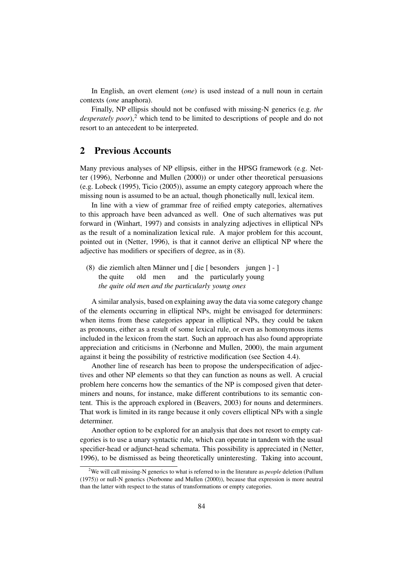In English, an overt element (*one*) is used instead of a null noun in certain contexts (*one* anaphora).

Finally, NP ellipsis should not be confused with missing-N generics (e.g. *the desperately poor*),<sup>2</sup> which tend to be limited to descriptions of people and do not resort to an antecedent to be interpreted.

## **2 Previous Accounts**

Many previous analyses of NP ellipsis, either in the HPSG framework (e.g. Netter (1996), Nerbonne and Mullen (2000)) or under other theoretical persuasions (e.g. Lobeck (1995), Ticio (2005)), assume an empty category approach where the missing noun is assumed to be an actual, though phonetically null, lexical item.

In line with a view of grammar free of reified empty categories, alternatives to this approach have been advanced as well. One of such alternatives was put forward in (Winhart, 1997) and consists in analyzing adjectives in elliptical NPs as the result of a nominalization lexical rule. A major problem for this account, pointed out in (Netter, 1996), is that it cannot derive an elliptical NP where the adjective has modifiers or specifiers of degree, as in (8).

(8) die ziemlich alten Männer und [ die [ besonders jungen ] - ] the quite old men and the particularly young *the quite old men and the particularly young ones*

A similar analysis, based on explaining away the data via some category change of the elements occurring in elliptical NPs, might be envisaged for determiners: when items from these categories appear in elliptical NPs, they could be taken as pronouns, either as a result of some lexical rule, or even as homonymous items included in the lexicon from the start. Such an approach has also found appropriate appreciation and criticisms in (Nerbonne and Mullen, 2000), the main argument against it being the possibility of restrictive modification (see Section 4.4).

Another line of research has been to propose the underspecification of adjectives and other NP elements so that they can function as nouns as well. A crucial problem here concerns how the semantics of the NP is composed given that determiners and nouns, for instance, make different contributions to its semantic content. This is the approach explored in (Beavers, 2003) for nouns and determiners. That work is limited in its range because it only covers elliptical NPs with a single determiner.

Another option to be explored for an analysis that does not resort to empty categories is to use a unary syntactic rule, which can operate in tandem with the usual specifier-head or adjunct-head schemata. This possibility is appreciated in (Netter, 1996), to be dismissed as being theoretically uninteresting. Taking into account,

<sup>2</sup>We will call missing-N generics to what is referred to in the literature as *people* deletion (Pullum (1975)) or null-N generics (Nerbonne and Mullen (2000)), because that expression is more neutral than the latter with respect to the status of transformations or empty categories.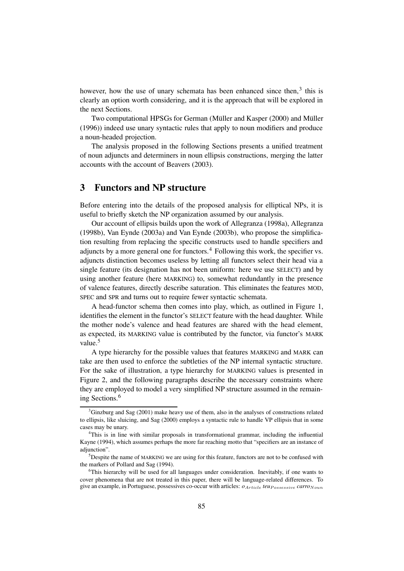however, how the use of unary schemata has been enhanced since then, $3$  this is clearly an option worth considering, and it is the approach that will be explored in the next Sections.

Two computational HPSGs for German (Müller and Kasper (2000) and Müller (1996)) indeed use unary syntactic rules that apply to noun modifiers and produce a noun-headed projection.

The analysis proposed in the following Sections presents a unified treatment of noun adjuncts and determiners in noun ellipsis constructions, merging the latter accounts with the account of Beavers (2003).

# **3 Functors and NP structure**

Before entering into the details of the proposed analysis for elliptical NPs, it is useful to briefly sketch the NP organization assumed by our analysis.

Our account of ellipsis builds upon the work of Allegranza (1998a), Allegranza (1998b), Van Eynde (2003a) and Van Eynde (2003b), who propose the simplification resulting from replacing the specific constructs used to handle specifiers and adjuncts by a more general one for functors.<sup>4</sup> Following this work, the specifier vs. adjuncts distinction becomes useless by letting all functors select their head via a single feature (its designation has not been uniform: here we use SELECT) and by using another feature (here MARKING) to, somewhat redundantly in the presence of valence features, directly describe saturation. This eliminates the features MOD, SPEC and SPR and turns out to require fewer syntactic schemata.

A head-functor schema then comes into play, which, as outlined in Figure 1, identifies the element in the functor's SELECT feature with the head daughter. While the mother node's valence and head features are shared with the head element, as expected, its MARKING value is contributed by the functor, via functor's MARK value.<sup>5</sup>

A type hierarchy for the possible values that features MARKING and MARK can take are then used to enforce the subtleties of the NP internal syntactic structure. For the sake of illustration, a type hierarchy for MARKING values is presented in Figure 2, and the following paragraphs describe the necessary constraints where they are employed to model a very simplified NP structure assumed in the remaining Sections.<sup>6</sup>

 $3$ Ginzburg and Sag (2001) make heavy use of them, also in the analyses of constructions related to ellipsis, like sluicing, and Sag (2000) employs a syntactic rule to handle VP ellipsis that in some cases may be unary.

<sup>&</sup>lt;sup>4</sup>This is in line with similar proposals in transformational grammar, including the influential Kayne (1994), which assumes perhaps the more far reaching motto that "specifiers are an instance of adiunction".

<sup>&</sup>lt;sup>5</sup>Despite the name of MARKING we are using for this feature, functors are not to be confused with the markers of Pollard and Sag (1994).

<sup>6</sup>This hierarchy will be used for all languages under consideration. Inevitably, if one wants to cover phenomena that are not treated in this paper, there will be language-related differences. To give an example, in Portuguese, possessives co-occur with articles:  $\rho_{Article}$  *teu*<sub>Possessive</sub> *carro*<sub>Noun</sub>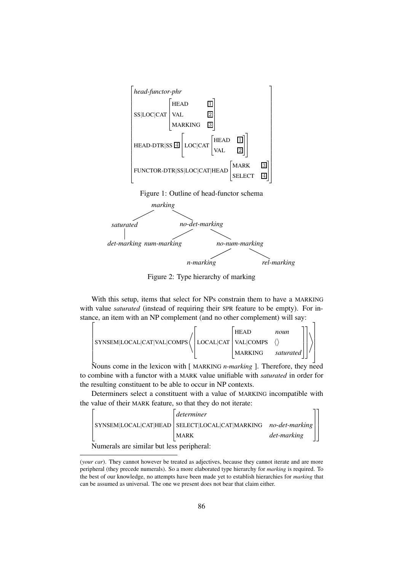

Figure 2: Type hierarchy of marking

With this setup, items that select for NPs constrain them to have a MARKING with value *saturated* (instead of requiring their SPR feature to be empty). For instance, an item with an NP complement (and no other complement) will say:

$$
\left[ \text{SYNSEM}[\text{LOCAL}|\text{CAT}|\text{VAL}|\text{COMPS} \left\langle \begin{bmatrix} \text{HEAD} & \text{noun} \\ \text{VAL}|\text{COMPS} & \langle \rangle \\ \text{MAXING} & \text{saturated} \end{bmatrix} \right\rangle \right]
$$

Nouns come in the lexicon with [ MARKING *n-marking* ]. Therefore, they need to combine with a functor with a MARK value unifiable with *saturated* in order for the resulting constituent to be able to occur in NP contexts.

Determiners select a constituent with a value of MARKING incompatible with the value of their MARK feature, so that they do not iterate:



Numerals are similar but less peripheral:

<sup>(</sup>*your car*). They cannot however be treated as adjectives, because they cannot iterate and are more peripheral (they precede numerals). So a more elaborated type hierarchy for *marking* is required. To the best of our knowledge, no attempts have been made yet to establish hierarchies for *marking* that can be assumed as universal. The one we present does not bear that claim either.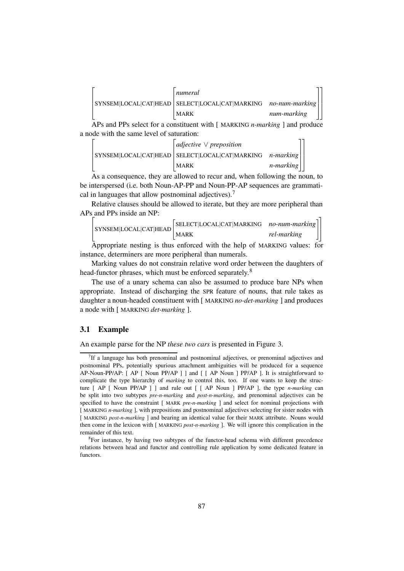

APs and PPs select for a constituent with [ MARKING *n-marking* ] and produce a node with the same level of saturation:

|  | $ $ adjective $\vee$ preposition                                        |                   |  |
|--|-------------------------------------------------------------------------|-------------------|--|
|  | $ $ SYNSEM LOCAL CAT HEAD $ $ SELECT LOCAL CAT MARKING $n$ -marking $ $ |                   |  |
|  | MARK                                                                    | $n$ -marking $  $ |  |

As a consequence, they are allowed to recur and, when following the noun, to be interspersed (i.e. both Noun-AP-PP and Noun-PP-AP sequences are grammatical in languages that allow postnominal adjectives).<sup>7</sup>

Relative clauses should be allowed to iterate, but they are more peripheral than APs and PPs inside an NP:

$$
\begin{bmatrix} \text{SYNSEM}|\text{LOCAL}|\text{CAT}|\text{HEAD}\begin{bmatrix} \text{SELECT}|\text{LOCAL}|\text{CAT}|\text{MARK}\text{ING} & no-num-marking \\ \text{MARK} & rel-marking \end{bmatrix} \end{bmatrix}
$$

Appropriate nesting is thus enforced with the help of MARKING values: for instance, determiners are more peripheral than numerals.

Marking values do not constrain relative word order between the daughters of head-functor phrases, which must be enforced separately.<sup>8</sup>

The use of a unary schema can also be assumed to produce bare NPs when appropriate. Instead of discharging the SPR feature of nouns, that rule takes as daughter a noun-headed constituent with [ MARKING *no-det-marking* ] and produces a node with [ MARKING *det-marking* ].

## **3.1 Example**

An example parse for the NP *these two cars* is presented in Figure 3.

<sup>&</sup>lt;sup>7</sup>If a language has both prenominal and postnominal adjectives, or prenominal adjectives and postnominal PPs, potentially spurious attachment ambiguities will be produced for a sequence AP-Noun-PP/AP: [ AP [ Noun PP/AP ] ] and [ [ AP Noun ] PP/AP ]. It is straightforward to complicate the type hierarchy of *marking* to control this, too. If one wants to keep the structure [ AP [ Noun PP/AP ] ] and rule out [ [ AP Noun ] PP/AP ], the type *n-marking* can be split into two subtypes *pre-n-marking* and *post-n-marking*, and prenominal adjectives can be specified to have the constraint [ MARK *pre-n-marking* ] and select for nominal projections with [ MARKING *n-marking* ], with prepositions and postnominal adjectives selecting for sister nodes with [ MARKING *post-n-marking* ] and bearing an identical value for their MARK attribute. Nouns would then come in the lexicon with [ MARKING *post-n-marking* ]. We will ignore this complication in the remainder of this text.

<sup>&</sup>lt;sup>8</sup>For instance, by having two subtypes of the functor-head schema with different precedence relations between head and functor and controlling rule application by some dedicated feature in functors.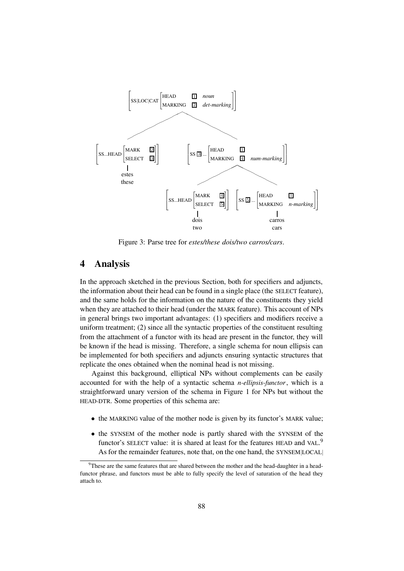

Figure 3: Parse tree for *estes/these dois/two carros/cars*.

# **4 Analysis**

In the approach sketched in the previous Section, both for specifiers and adjuncts, the information about their head can be found in a single place (the SELECT feature), and the same holds for the information on the nature of the constituents they yield when they are attached to their head (under the MARK feature). This account of NPs in general brings two important advantages: (1) specifiers and modifiers receive a uniform treatment; (2) since all the syntactic properties of the constituent resulting from the attachment of a functor with its head are present in the functor, they will be known if the head is missing. Therefore, a single schema for noun ellipsis can be implemented for both specifiers and adjuncts ensuring syntactic structures that replicate the ones obtained when the nominal head is not missing.

Against this background, elliptical NPs without complements can be easily accounted for with the help of a syntactic schema *n-ellipsis-functor*, which is a straightforward unary version of the schema in Figure 1 for NPs but without the HEAD-DTR. Some properties of this schema are:

- the MARKING value of the mother node is given by its functor's MARK value;
- the SYNSEM of the mother node is partly shared with the SYNSEM of the functor's SELECT value: it is shared at least for the features HEAD and VAL.<sup>9</sup> As for the remainder features, note that, on the one hand, the SYNSEM|LOCAL|

 $9$ These are the same features that are shared between the mother and the head-daughter in a headfunctor phrase, and functors must be able to fully specify the level of saturation of the head they attach to.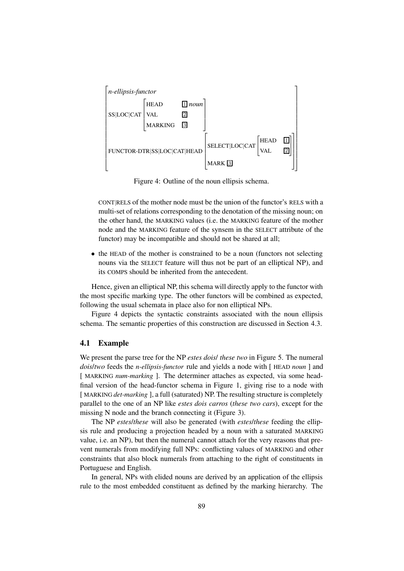

Figure 4: Outline of the noun ellipsis schema.

CONT|RELS of the mother node must be the union of the functor's RELS with a multi-set of relations corresponding to the denotation of the missing noun; on the other hand, the MARKING values (i.e. the MARKING feature of the mother node and the MARKING feature of the synsem in the SELECT attribute of the functor) may be incompatible and should not be shared at all;

• the HEAD of the mother is constrained to be a noun (functors not selecting nouns via the SELECT feature will thus not be part of an elliptical NP), and its COMPS should be inherited from the antecedent.

Hence, given an elliptical NP, this schema will directly apply to the functor with the most specific marking type. The other functors will be combined as expected, following the usual schemata in place also for non elliptical NPs.

Figure 4 depicts the syntactic constraints associated with the noun ellipsis schema. The semantic properties of this construction are discussed in Section 4.3.

#### **4.1 Example**

We present the parse tree for the NP *estes dois*/ *these two* in Figure 5. The numeral *dois*/*two* feeds the *n-ellipsis-functor* rule and yields a node with [ HEAD *noun* ] and [ MARKING *num-marking* ]. The determiner attaches as expected, via some headfinal version of the head-functor schema in Figure 1, giving rise to a node with [ MARKING *det-marking* ], a full (saturated) NP. The resulting structure is completely parallel to the one of an NP like *estes dois carros* (*these two cars*), except for the missing N node and the branch connecting it (Figure 3).

The NP *estes*/*these* will also be generated (with *estes*/*these* feeding the ellipsis rule and producing a projection headed by a noun with a saturated MARKING value, i.e. an NP), but then the numeral cannot attach for the very reasons that prevent numerals from modifying full NPs: conflicting values of MARKING and other constraints that also block numerals from attaching to the right of constituents in Portuguese and English.

In general, NPs with elided nouns are derived by an application of the ellipsis rule to the most embedded constituent as defined by the marking hierarchy. The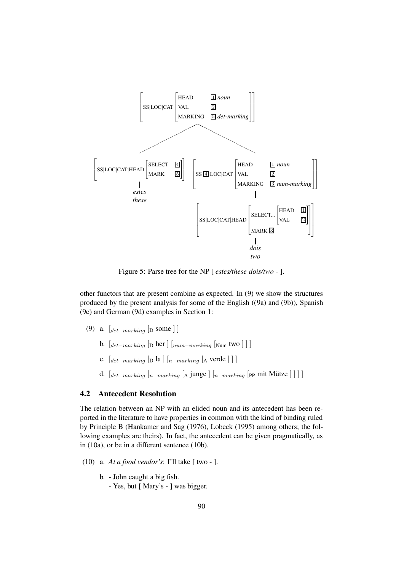

Figure 5: Parse tree for the NP [ *estes/these dois/two -* ].

other functors that are present combine as expected. In (9) we show the structures produced by the present analysis for some of the English ((9a) and (9b)), Spanish (9c) and German (9d) examples in Section 1:

- (9) a.  $\left[_{det-maxking}$  [<sub>D</sub> some ] ]
	- b.  $\left[ \frac{det \frac{1}{2}}{2} \right]$  [D her  $\left[ \frac{1}{2} \frac{1}{2} \right]$   $\left[ \frac{num \frac{1}{2}}{2} \right]$
	- c.  $\left[_{det-maxing}$  [<sub>D</sub> la  $\right]$   $\left[_{n-maxing}$   $\left[$  ∆ verde  $\right]$  ]  $\right]$
	- d.  $\left[$ det–marking  $\left[$ n–marking  $\left[$ A junge  $\right]$  $\left[$ <sub>n–marking</sub>  $\left[$ pp mit Mütze  $\right]$ ]  $\right]$

## **4.2 Antecedent Resolution**

The relation between an NP with an elided noun and its antecedent has been reported in the literature to have properties in common with the kind of binding ruled by Principle B (Hankamer and Sag (1976), Lobeck (1995) among others; the following examples are theirs). In fact, the antecedent can be given pragmatically, as in (10a), or be in a different sentence (10b).

- (10) a. *At a food vendor's*: I'll take [ two ].
	- b. John caught a big fish.
		- Yes, but [ Mary's ] was bigger.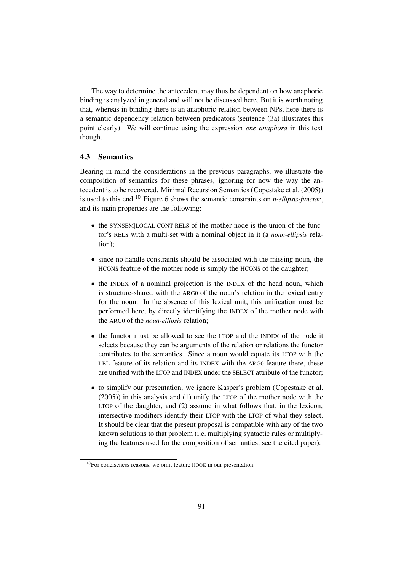The way to determine the antecedent may thus be dependent on how anaphoric binding is analyzed in general and will not be discussed here. But it is worth noting that, whereas in binding there is an anaphoric relation between NPs, here there is a semantic dependency relation between predicators (sentence (3a) illustrates this point clearly). We will continue using the expression *one anaphora* in this text though.

## **4.3 Semantics**

Bearing in mind the considerations in the previous paragraphs, we illustrate the composition of semantics for these phrases, ignoring for now the way the antecedent is to be recovered. Minimal Recursion Semantics (Copestake et al. (2005)) is used to this end.<sup>10</sup> Figure 6 shows the semantic constraints on *n-ellipsis-functor*, and its main properties are the following:

- the SYNSEM|LOCAL|CONT|RELS of the mother node is the union of the functor's RELS with a multi-set with a nominal object in it (a *noun-ellipsis* relation);
- since no handle constraints should be associated with the missing noun, the HCONS feature of the mother node is simply the HCONS of the daughter;
- the INDEX of a nominal projection is the INDEX of the head noun, which is structure-shared with the ARG0 of the noun's relation in the lexical entry for the noun. In the absence of this lexical unit, this unification must be performed here, by directly identifying the INDEX of the mother node with the ARG0 of the *noun-ellipsis* relation;
- the functor must be allowed to see the LTOP and the INDEX of the node it selects because they can be arguments of the relation or relations the functor contributes to the semantics. Since a noun would equate its LTOP with the LBL feature of its relation and its INDEX with the ARG0 feature there, these are unified with the LTOP and INDEX under the SELECT attribute of the functor;
- to simplify our presentation, we ignore Kasper's problem (Copestake et al. (2005)) in this analysis and (1) unify the LTOP of the mother node with the LTOP of the daughter, and (2) assume in what follows that, in the lexicon, intersective modifiers identify their LTOP with the LTOP of what they select. It should be clear that the present proposal is compatible with any of the two known solutions to that problem (i.e. multiplying syntactic rules or multiplying the features used for the composition of semantics; see the cited paper).

 $10$ For conciseness reasons, we omit feature HOOK in our presentation.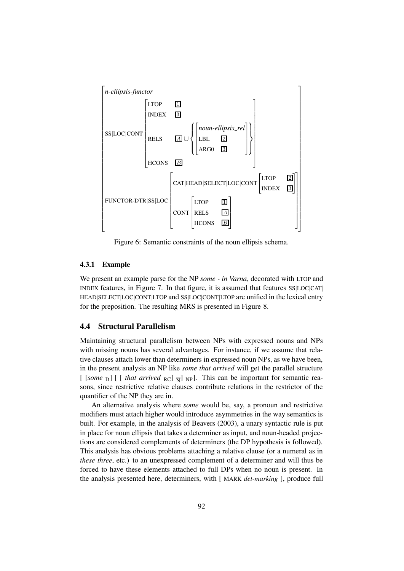

Figure 6: Semantic constraints of the noun ellipsis schema.

#### **4.3.1 Example**

We present an example parse for the NP *some - in Varna*, decorated with LTOP and INDEX features, in Figure 7. In that figure, it is assumed that features SS|LOC|CAT| HEAD|SELECT|LOC|CONT|LTOP and SS|LOC|CONT|LTOP are unified in the lexical entry for the preposition. The resulting MRS is presented in Figure 8.

### **4.4 Structural Parallelism**

Maintaining structural parallelism between NPs with expressed nouns and NPs with missing nouns has several advantages. For instance, if we assume that relative clauses attach lower than determiners in expressed noun NPs, as we have been, in the present analysis an NP like *some that arrived* will get the parallel structure [  $[some_{D}]$  [ [ *that arrived*  $_{RC}]$   $_{\overline{N}}]$   $_{NP}$ ]. This can be important for semantic reasons, since restrictive relative clauses contribute relations in the restrictor of the quantifier of the NP they are in.

An alternative analysis where *some* would be, say, a pronoun and restrictive modifiers must attach higher would introduce asymmetries in the way semantics is built. For example, in the analysis of Beavers (2003), a unary syntactic rule is put in place for noun ellipsis that takes a determiner as input, and noun-headed projections are considered complements of determiners (the DP hypothesis is followed). This analysis has obvious problems attaching a relative clause (or a numeral as in *these three*, etc.) to an unexpressed complement of a determiner and will thus be forced to have these elements attached to full DPs when no noun is present. In the analysis presented here, determiners, with [ MARK *det-marking* ], produce full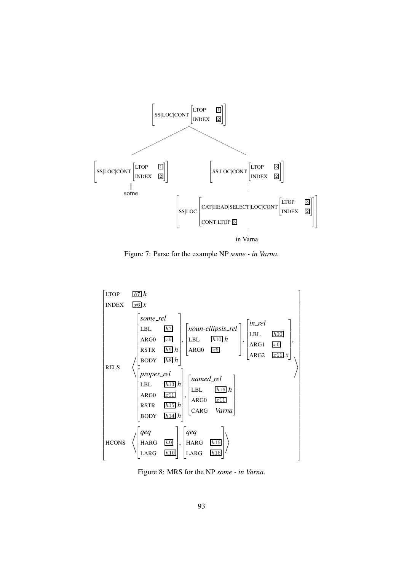

Figure 7: Parse for the example NP *some - in Varna*.



Figure 8: MRS for the NP *some - in Varna*.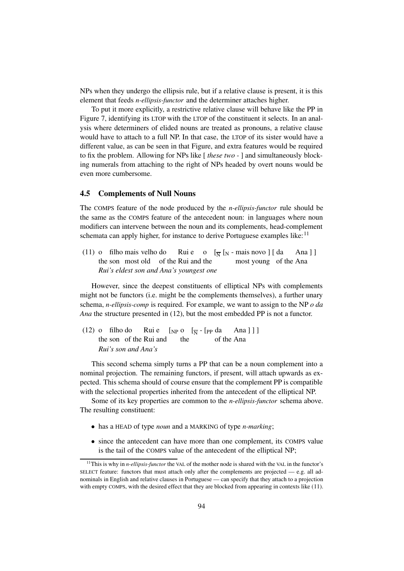NPs when they undergo the ellipsis rule, but if a relative clause is present, it is this element that feeds *n-ellipsis-functor* and the determiner attaches higher.

To put it more explicitly, a restrictive relative clause will behave like the PP in Figure 7, identifying its LTOP with the LTOP of the constituent it selects. In an analysis where determiners of elided nouns are treated as pronouns, a relative clause would have to attach to a full NP. In that case, the LTOP of its sister would have a different value, as can be seen in that Figure, and extra features would be required to fix the problem. Allowing for NPs like [ *these two -* ] and simultaneously blocking numerals from attaching to the right of NPs headed by overt nouns would be even more cumbersome.

#### **4.5 Complements of Null Nouns**

The COMPS feature of the node produced by the *n-ellipsis-functor* rule should be the same as the COMPS feature of the antecedent noun: in languages where noun modifiers can intervene between the noun and its complements, head-complement schemata can apply higher, for instance to derive Portuguese examples like:<sup>11</sup>

 $(11)$  o filho mais velho do Rui e o  $\left[\frac{1}{N} [N - \text{mais novo}] [da \text{ Ana}] \right]$ the son most old of the Rui and the most young of the Ana *Rui's eldest son and Ana's youngest one*

However, since the deepest constituents of elliptical NPs with complements might not be functors (i.e. might be the complements themselves), a further unary schema, *n-ellipsis-comp* is required. For example, we want to assign to the NP *o da Ana* the structure presented in (12), but the most embedded PP is not a functor.

(12) o filho do Rui e  $\left[\begin{array}{cc} \text{NP} \text{O} & \overline{N} \end{array} \right]$  =  $\left[\begin{array}{cc} \text{PP} \text{O} & \text{NP} \end{array} \right]$  the son of the Rui and the of the Ana  $]$  ]  $]$ the son of the Rui and the of the Ana *Rui's son and Ana's*

This second schema simply turns a PP that can be a noun complement into a nominal projection. The remaining functors, if present, will attach upwards as expected. This schema should of course ensure that the complement PP is compatible with the selectional properties inherited from the antecedent of the elliptical NP.

Some of its key properties are common to the *n-ellipsis-functor* schema above. The resulting constituent:

- has a HEAD of type *noun* and a MARKING of type *n-marking*;
- since the antecedent can have more than one complement, its COMPS value is the tail of the COMPS value of the antecedent of the elliptical NP;

<sup>&</sup>lt;sup>11</sup>This is why in *n-ellipsis-functor* the VAL of the mother node is shared with the VAL in the functor's SELECT feature: functors that must attach only after the complements are projected  $-$  e.g. all adnominals in English and relative clauses in Portuguese — can specify that they attach to a projection with empty COMPS, with the desired effect that they are blocked from appearing in contexts like (11).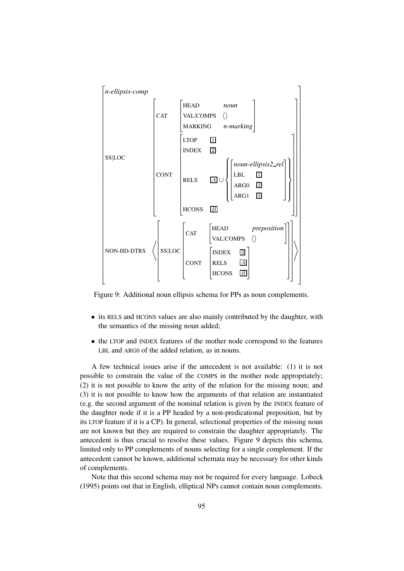

Figure 9: Additional noun ellipsis schema for PPs as noun complements.

- its RELS and HCONS values are also mainly contributed by the daughter, with the semantics of the missing noun added;
- the LTOP and INDEX features of the mother node correspond to the features LBL and ARG0 of the added relation, as in nouns.

A few technical issues arise if the antecedent is not available: (1) it is not possible to constrain the value of the COMPS in the mother node appropriately; (2) it is not possible to know the arity of the relation for the missing noun; and (3) it is not possible to know how the arguments of that relation are instantiated (e.g. the second argument of the nominal relation is given by the INDEX feature of the daughter node if it is a PP headed by a non-predicational preposition, but by its LTOP feature if it is a CP). In general, selectional properties of the missing noun are not known but they are required to constrain the daughter appropriately. The antecedent is thus crucial to resolve these values. Figure 9 depicts this schema, limited only to PP complements of nouns selecting for a single complement. If the antecedent cannot be known, additional schemata may be necessary for other kinds of complements.

Note that this second schema may not be required for every language. Lobeck (1995) points out that in English, elliptical NPs cannot contain noun complements.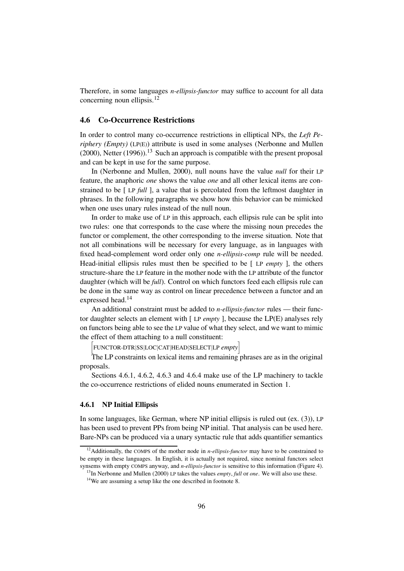Therefore, in some languages *n-ellipsis-functor* may suffice to account for all data concerning noun ellipsis.<sup>12</sup>

#### **4.6 Co-Occurrence Restrictions**

In order to control many co-occurrence restrictions in elliptical NPs, the *Left Periphery (Empty)* (LP(E)) attribute is used in some analyses (Nerbonne and Mullen  $(2000)$ , Netter  $(1996)$ .<sup>13</sup> Such an approach is compatible with the present proposal and can be kept in use for the same purpose.

In (Nerbonne and Mullen, 2000), null nouns have the value *null* for their LP feature, the anaphoric *one* shows the value *one* and all other lexical items are constrained to be [ LP *full* ], a value that is percolated from the leftmost daughter in phrases. In the following paragraphs we show how this behavior can be mimicked when one uses unary rules instead of the null noun.

In order to make use of LP in this approach, each ellipsis rule can be split into two rules: one that corresponds to the case where the missing noun precedes the functor or complement, the other corresponding to the inverse situation. Note that not all combinations will be necessary for every language, as in languages with fixed head-complement word order only one *n-ellipsis-comp* rule will be needed. Head-initial ellipsis rules must then be specified to be [ LP *empty* ], the others structure-share the LP feature in the mother node with the LP attribute of the functor daughter (which will be *full*). Control on which functors feed each ellipsis rule can be done in the same way as control on linear precedence between a functor and an expressed head.<sup>14</sup>

An additional constraint must be added to *n-ellipsis-functor* rules — their functor daughter selects an element with [ LP *empty* ], because the LP(E) analyses rely on functors being able to see the LP value of what they select, and we want to mimic the effect of them attaching to a null constituent:

h FUNCTOR-DTR|SS|LOC|CAT|HEAD|SELECT|LP *empty*i

The LP constraints on lexical items and remaining phrases are as in the original proposals.

Sections 4.6.1, 4.6.2, 4.6.3 and 4.6.4 make use of the LP machinery to tackle the co-occurrence restrictions of elided nouns enumerated in Section 1.

#### **4.6.1 NP Initial Ellipsis**

In some languages, like German, where NP initial ellipsis is ruled out (ex. (3)), LP has been used to prevent PPs from being NP initial. That analysis can be used here. Bare-NPs can be produced via a unary syntactic rule that adds quantifier semantics

<sup>&</sup>lt;sup>12</sup>Additionally, the COMPS of the mother node in *n-ellipsis-functor* may have to be constrained to be empty in these languages. In English, it is actually not required, since nominal functors select synsems with empty COMPS anyway, and *n-ellipsis-functor* is sensitive to this information (Figure 4).

<sup>13</sup>In Nerbonne and Mullen (2000) LP takes the values *empty*, *full* or *one*. We will also use these.

<sup>&</sup>lt;sup>14</sup>We are assuming a setup like the one described in footnote 8.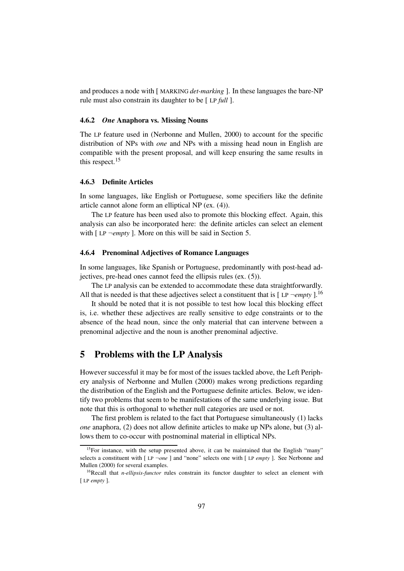and produces a node with [ MARKING *det-marking* ]. In these languages the bare-NP rule must also constrain its daughter to be [ LP *full* ].

#### **4.6.2** *One* **Anaphora vs. Missing Nouns**

The LP feature used in (Nerbonne and Mullen, 2000) to account for the specific distribution of NPs with *one* and NPs with a missing head noun in English are compatible with the present proposal, and will keep ensuring the same results in this respect.<sup>15</sup>

#### **4.6.3 Definite Articles**

In some languages, like English or Portuguese, some specifiers like the definite article cannot alone form an elliptical NP (ex. (4)).

The LP feature has been used also to promote this blocking effect. Again, this analysis can also be incorporated here: the definite articles can select an element with [ LP ¬*empty* ]. More on this will be said in Section 5.

#### **4.6.4 Prenominal Adjectives of Romance Languages**

In some languages, like Spanish or Portuguese, predominantly with post-head adjectives, pre-head ones cannot feed the ellipsis rules (ex. (5)).

The LP analysis can be extended to accommodate these data straightforwardly. All that is needed is that these adjectives select a constituent that is  $[LP \neg \textit{empty}].^{16}$ 

It should be noted that it is not possible to test how local this blocking effect is, i.e. whether these adjectives are really sensitive to edge constraints or to the absence of the head noun, since the only material that can intervene between a prenominal adjective and the noun is another prenominal adjective.

## **5 Problems with the LP Analysis**

However successful it may be for most of the issues tackled above, the Left Periphery analysis of Nerbonne and Mullen (2000) makes wrong predictions regarding the distribution of the English and the Portuguese definite articles. Below, we identify two problems that seem to be manifestations of the same underlying issue. But note that this is orthogonal to whether null categories are used or not.

The first problem is related to the fact that Portuguese simultaneously (1) lacks *one* anaphora, (2) does not allow definite articles to make up NPs alone, but (3) allows them to co-occur with postnominal material in elliptical NPs.

<sup>&</sup>lt;sup>15</sup>For instance, with the setup presented above, it can be maintained that the English "many" selects a constituent with [ LP ¬*one* ] and "none" selects one with [ LP *empty* ]. See Nerbonne and Mullen (2000) for several examples.

<sup>&</sup>lt;sup>16</sup>Recall that *n-ellipsis-functor* rules constrain its functor daughter to select an element with [ LP *empty* ].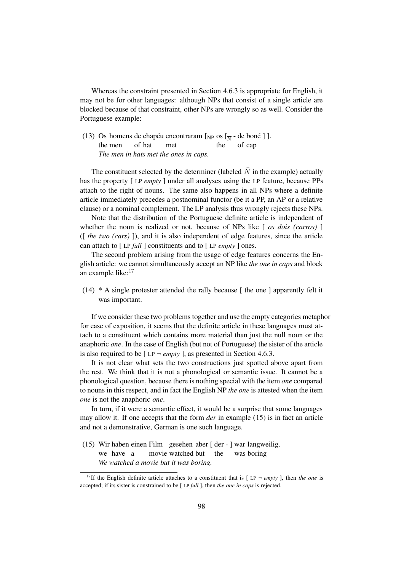Whereas the constraint presented in Section 4.6.3 is appropriate for English, it may not be for other languages: although NPs that consist of a single article are blocked because of that constraint, other NPs are wrongly so as well. Consider the Portuguese example:

(13) Os homens de chapéu encontraram [<sub>NP</sub> os [ $_{\overline{N}}$  - de boné ] ]. the men of hat met the of cap *The men in hats met the ones in caps.*

The constituent selected by the determiner (labeled  $\overline{N}$  in the example) actually has the property [ LP *empty* ] under all analyses using the LP feature, because PPs attach to the right of nouns. The same also happens in all NPs where a definite article immediately precedes a postnominal functor (be it a PP, an AP or a relative clause) or a nominal complement. The LP analysis thus wrongly rejects these NPs.

Note that the distribution of the Portuguese definite article is independent of whether the noun is realized or not, because of NPs like [ *os dois (carros)* ] ([ *the two (cars)* ]), and it is also independent of edge features, since the article can attach to [ LP *full* ] constituents and to [ LP *empty* ] ones.

The second problem arising from the usage of edge features concerns the English article: we cannot simultaneously accept an NP like *the one in caps* and block an example like:<sup>17</sup>

(14) \* A single protester attended the rally because [ the one ] apparently felt it was important.

If we consider these two problems together and use the empty categories metaphor for ease of exposition, it seems that the definite article in these languages must attach to a constituent which contains more material than just the null noun or the anaphoric *one*. In the case of English (but not of Portuguese) the sister of the article is also required to be  $[LP - empty]$ , as presented in Section 4.6.3.

It is not clear what sets the two constructions just spotted above apart from the rest. We think that it is not a phonological or semantic issue. It cannot be a phonological question, because there is nothing special with the item *one* compared to nouns in this respect, and in fact the English NP *the one* is attested when the item *one* is not the anaphoric *one*.

In turn, if it were a semantic effect, it would be a surprise that some languages may allow it. If one accepts that the form *der* in example (15) is in fact an article and not a demonstrative, German is one such language.

(15) Wir haben einen Film gesehen aber [ der - ] war langweilig. we have a movie watched but the was boring *We watched a movie but it was boring.*

<sup>&</sup>lt;sup>17</sup>If the English definite article attaches to a constituent that is  $[LP - \epsilon m p t v]$ , then *the one* is accepted; if its sister is constrained to be [ LP *full* ], then *the one in caps* is rejected.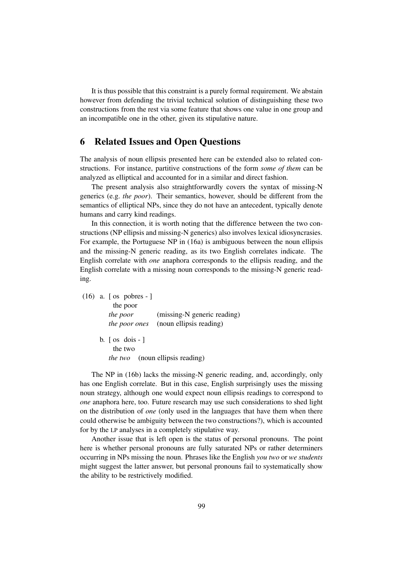It is thus possible that this constraint is a purely formal requirement. We abstain however from defending the trivial technical solution of distinguishing these two constructions from the rest via some feature that shows one value in one group and an incompatible one in the other, given its stipulative nature.

# **6 Related Issues and Open Questions**

The analysis of noun ellipsis presented here can be extended also to related constructions. For instance, partitive constructions of the form *some of them* can be analyzed as elliptical and accounted for in a similar and direct fashion.

The present analysis also straightforwardly covers the syntax of missing-N generics (e.g. *the poor*). Their semantics, however, should be different from the semantics of elliptical NPs, since they do not have an antecedent, typically denote humans and carry kind readings.

In this connection, it is worth noting that the difference between the two constructions (NP ellipsis and missing-N generics) also involves lexical idiosyncrasies. For example, the Portuguese NP in (16a) is ambiguous between the noun ellipsis and the missing-N generic reading, as its two English correlates indicate. The English correlate with *one* anaphora corresponds to the ellipsis reading, and the English correlate with a missing noun corresponds to the missing-N generic reading.

(16) a. [ os pobres - ] the poor *the poor* (missing-N generic reading) *the poor ones* (noun ellipsis reading) b.  $\lceil \text{os } \text{dois} - \rceil$ the two *the two* (noun ellipsis reading)

The NP in (16b) lacks the missing-N generic reading, and, accordingly, only has one English correlate. But in this case, English surprisingly uses the missing noun strategy, although one would expect noun ellipsis readings to correspond to *one* anaphora here, too. Future research may use such considerations to shed light on the distribution of *one* (only used in the languages that have them when there could otherwise be ambiguity between the two constructions?), which is accounted for by the LP analyses in a completely stipulative way.

Another issue that is left open is the status of personal pronouns. The point here is whether personal pronouns are fully saturated NPs or rather determiners occurring in NPs missing the noun. Phrases like the English *you two* or *we students* might suggest the latter answer, but personal pronouns fail to systematically show the ability to be restrictively modified.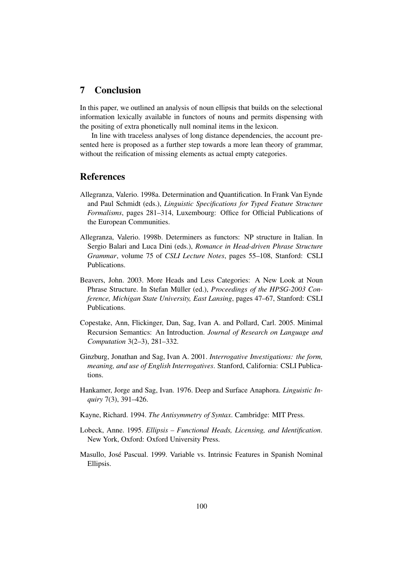# **7 Conclusion**

In this paper, we outlined an analysis of noun ellipsis that builds on the selectional information lexically available in functors of nouns and permits dispensing with the positing of extra phonetically null nominal items in the lexicon.

In line with traceless analyses of long distance dependencies, the account presented here is proposed as a further step towards a more lean theory of grammar, without the reification of missing elements as actual empty categories.

# **References**

- Allegranza, Valerio. 1998a. Determination and Quantification. In Frank Van Eynde and Paul Schmidt (eds.), *Linguistic Specifications for Typed Feature Structure Formalisms*, pages 281–314, Luxembourg: Office for Official Publications of the European Communities.
- Allegranza, Valerio. 1998b. Determiners as functors: NP structure in Italian. In Sergio Balari and Luca Dini (eds.), *Romance in Head-driven Phrase Structure Grammar*, volume 75 of *CSLI Lecture Notes*, pages 55–108, Stanford: CSLI Publications.
- Beavers, John. 2003. More Heads and Less Categories: A New Look at Noun Phrase Structure. In Stefan Müller (ed.), *Proceedings of the HPSG-2003 Conference, Michigan State University, East Lansing*, pages 47–67, Stanford: CSLI Publications.
- Copestake, Ann, Flickinger, Dan, Sag, Ivan A. and Pollard, Carl. 2005. Minimal Recursion Semantics: An Introduction. *Journal of Research on Language and Computation* 3(2–3), 281–332.
- Ginzburg, Jonathan and Sag, Ivan A. 2001. *Interrogative Investigations: the form, meaning, and use of English Interrogatives*. Stanford, California: CSLI Publications.
- Hankamer, Jorge and Sag, Ivan. 1976. Deep and Surface Anaphora. *Linguistic Inquiry* 7(3), 391–426.
- Kayne, Richard. 1994. *The Antisymmetry of Syntax*. Cambridge: MIT Press.
- Lobeck, Anne. 1995. *Ellipsis – Functional Heads, Licensing, and Identification*. New York, Oxford: Oxford University Press.
- Masullo, Jose´ Pascual. 1999. Variable vs. Intrinsic Features in Spanish Nominal Ellipsis.